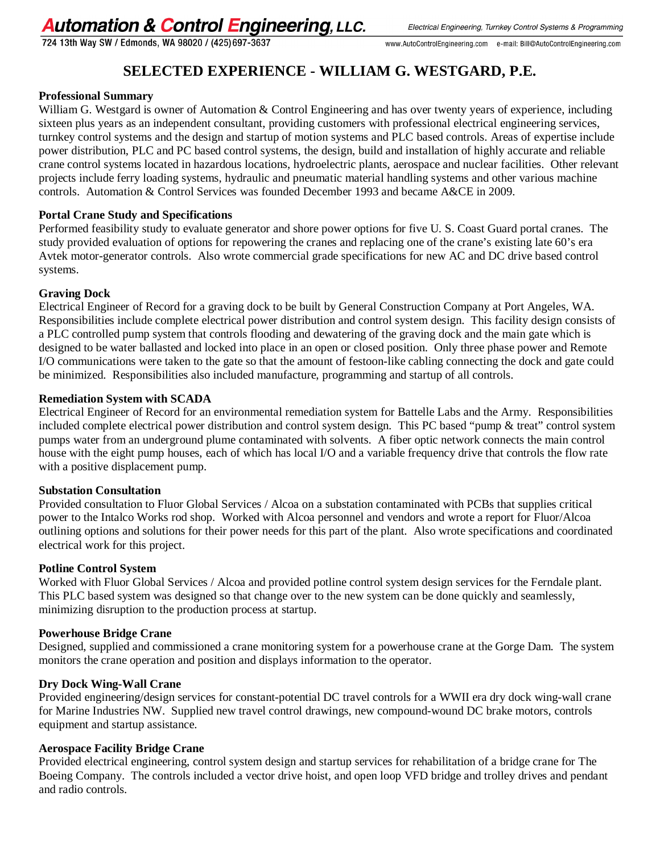# **Automation & Control Engineering, LLC.**

724 13th Way SW / Edmonds, WA 98020 / (425) 697-3637

# **SELECTED EXPERIENCE - WILLIAM G. WESTGARD, P.E.**

# **Professional Summary**

William G. Westgard is owner of Automation & Control Engineering and has over twenty years of experience, including sixteen plus years as an independent consultant, providing customers with professional electrical engineering services, turnkey control systems and the design and startup of motion systems and PLC based controls. Areas of expertise include power distribution, PLC and PC based control systems, the design, build and installation of highly accurate and reliable crane control systems located in hazardous locations, hydroelectric plants, aerospace and nuclear facilities. Other relevant projects include ferry loading systems, hydraulic and pneumatic material handling systems and other various machine controls. Automation & Control Services was founded December 1993 and became A&CE in 2009.

# **Portal Crane Study and Specifications**

Performed feasibility study to evaluate generator and shore power options for five U. S. Coast Guard portal cranes. The study provided evaluation of options for repowering the cranes and replacing one of the crane's existing late 60's era Avtek motor-generator controls. Also wrote commercial grade specifications for new AC and DC drive based control systems.

# **Graving Dock**

Electrical Engineer of Record for a graving dock to be built by General Construction Company at Port Angeles, WA. Responsibilities include complete electrical power distribution and control system design. This facility design consists of a PLC controlled pump system that controls flooding and dewatering of the graving dock and the main gate which is designed to be water ballasted and locked into place in an open or closed position. Only three phase power and Remote I/O communications were taken to the gate so that the amount of festoon-like cabling connecting the dock and gate could be minimized. Responsibilities also included manufacture, programming and startup of all controls.

# **Remediation System with SCADA**

Electrical Engineer of Record for an environmental remediation system for Battelle Labs and the Army. Responsibilities included complete electrical power distribution and control system design. This PC based "pump & treat" control system pumps water from an underground plume contaminated with solvents. A fiber optic network connects the main control house with the eight pump houses, each of which has local I/O and a variable frequency drive that controls the flow rate with a positive displacement pump.

#### **Substation Consultation**

Provided consultation to Fluor Global Services / Alcoa on a substation contaminated with PCBs that supplies critical power to the Intalco Works rod shop. Worked with Alcoa personnel and vendors and wrote a report for Fluor/Alcoa outlining options and solutions for their power needs for this part of the plant. Also wrote specifications and coordinated electrical work for this project.

# **Potline Control System**

Worked with Fluor Global Services / Alcoa and provided potline control system design services for the Ferndale plant. This PLC based system was designed so that change over to the new system can be done quickly and seamlessly, minimizing disruption to the production process at startup.

#### **Powerhouse Bridge Crane**

Designed, supplied and commissioned a crane monitoring system for a powerhouse crane at the Gorge Dam. The system monitors the crane operation and position and displays information to the operator.

# **Dry Dock Wing-Wall Crane**

Provided engineering/design services for constant-potential DC travel controls for a WWII era dry dock wing-wall crane for Marine Industries NW. Supplied new travel control drawings, new compound-wound DC brake motors, controls equipment and startup assistance.

#### **Aerospace Facility Bridge Crane**

Provided electrical engineering, control system design and startup services for rehabilitation of a bridge crane for The Boeing Company. The controls included a vector drive hoist, and open loop VFD bridge and trolley drives and pendant and radio controls.